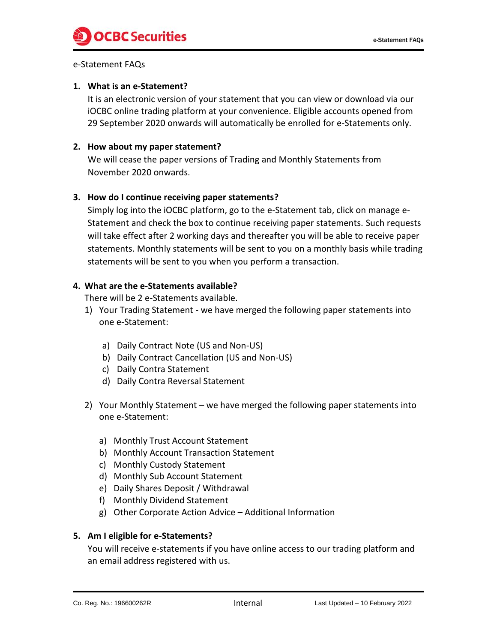## e-Statement FAQs

### **1. What is an e-Statement?**

It is an electronic version of your statement that you can view or download via our iOCBC online trading platform at your convenience. Eligible accounts opened from 29 September 2020 onwards will automatically be enrolled for e-Statements only.

## **2. How about my paper statement?**

We will cease the paper versions of Trading and Monthly Statements from November 2020 onwards.

# **3. How do I continue receiving paper statements?**

Simply log into the iOCBC platform, go to the e-Statement tab, click on manage e-Statement and check the box to continue receiving paper statements. Such requests will take effect after 2 working days and thereafter you will be able to receive paper statements. Monthly statements will be sent to you on a monthly basis while trading statements will be sent to you when you perform a transaction.

# **4. What are the e-Statements available?**

There will be 2 e-Statements available.

- 1) Your Trading Statement we have merged the following paper statements into one e-Statement:
	- a) Daily Contract Note (US and Non-US)
	- b) Daily Contract Cancellation (US and Non-US)
	- c) Daily Contra Statement
	- d) Daily Contra Reversal Statement
- 2) Your Monthly Statement we have merged the following paper statements into one e-Statement:
	- a) Monthly Trust Account Statement
	- b) Monthly Account Transaction Statement
	- c) Monthly Custody Statement
	- d) Monthly Sub Account Statement
	- e) Daily Shares Deposit / Withdrawal
	- f) Monthly Dividend Statement
	- g) Other Corporate Action Advice Additional Information

### **5. Am I eligible for e-Statements?**

You will receive e-statements if you have online access to our trading platform and an email address registered with us.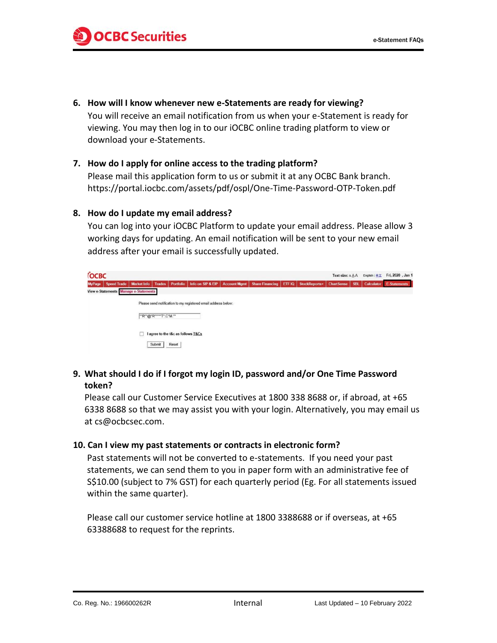**6. How will I know whenever new e-Statements are ready for viewing?**

You will receive an email notification from us when your e-Statement is ready for viewing. You may then log in to our iOCBC online trading platform to view or download your e-Statements.

#### **7. How do I apply for online access to the trading platform?**

Please mail this application form to us or submit it at any OCBC Bank branch. https://portal.iocbc.com/assets/pdf/ospl/One-Time-Password-OTP-Token.pdf

#### **8. How do I update my email address?**

You can log into your iOCBC Platform to update your email address. Please allow 3 working days for updating. An email notification will be sent to your new email address after your email is successfully updated.

| <b>COCBC</b>  |                                       |             |                      |                                    |                                                                |                     |                        |        |               |            |            | English   中文 | Fri, 2020, Jan 1    |
|---------------|---------------------------------------|-------------|----------------------|------------------------------------|----------------------------------------------------------------|---------------------|------------------------|--------|---------------|------------|------------|--------------|---------------------|
| <b>MyPage</b> | <b>Speed Trade</b>                    | Market Info |                      | Trades   Portfolio                 | Info on SIP & EIP                                              | <b>Account Mgmt</b> | <b>Share Financing</b> | ETF IQ | StockReports+ | ChartSense | <b>SBL</b> | Calculator   | <b>E-Statements</b> |
|               | View e-Statements Manage e-Statements |             |                      |                                    |                                                                |                     |                        |        |               |            |            |              |                     |
|               |                                       |             |                      |                                    | Please send notification to my registered email address below: |                     |                        |        |               |            |            |              |                     |
|               |                                       |             | "R"@"R""**"T".C"M."" |                                    |                                                                |                     |                        |        |               |            |            |              |                     |
|               |                                       |             |                      | I agree to the t&c as follows T&Cs |                                                                |                     |                        |        |               |            |            |              |                     |
|               |                                       |             | Submit               | Reset                              |                                                                |                     |                        |        |               |            |            |              |                     |

**9. What should I do if I forgot my login ID, password and/or One Time Password token?**

Please call our Customer Service Executives at 1800 338 8688 or, if abroad, at +65 6338 8688 so that we may assist you with your login. Alternatively, you may email us at cs@ocbcsec.com.

#### **10. Can I view my past statements or contracts in electronic form?**

Past statements will not be converted to e-statements. If you need your past statements, we can send them to you in paper form with an administrative fee of S\$10.00 (subject to 7% GST) for each quarterly period (Eg. For all statements issued within the same quarter).

Please call our customer service hotline at 1800 3388688 or if overseas, at +65 63388688 to request for the reprints.